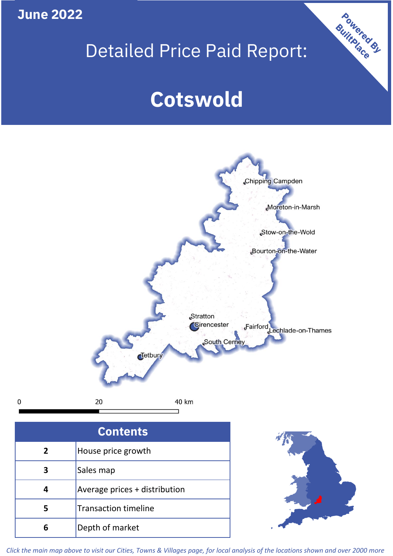**June 2022**

**5**

Transaction timeline

**6** Depth of market

## Detailed Price Paid Report:

Powered By

# **Cotswold**



*Click the main map above to visit our Cities, Towns & Villages page, for local analysis of the locations shown and over 2000 more*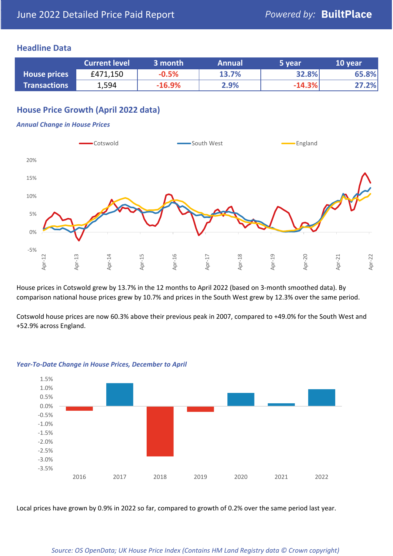### **Headline Data**

|                     | <b>Current level</b> | 3 month  | <b>Annual</b> | '5 year  | 10 year |
|---------------------|----------------------|----------|---------------|----------|---------|
| <b>House prices</b> | £471,150             | $-0.5%$  | 13.7%         | 32.8%    | 65.8%   |
| <b>Transactions</b> | 1,594                | $-16.9%$ | 2.9%          | $-14.3%$ | 27.2%   |

## **House Price Growth (April 2022 data)**

#### *Annual Change in House Prices*



House prices in Cotswold grew by 13.7% in the 12 months to April 2022 (based on 3-month smoothed data). By comparison national house prices grew by 10.7% and prices in the South West grew by 12.3% over the same period.

Cotswold house prices are now 60.3% above their previous peak in 2007, compared to +49.0% for the South West and +52.9% across England.



#### *Year-To-Date Change in House Prices, December to April*

Local prices have grown by 0.9% in 2022 so far, compared to growth of 0.2% over the same period last year.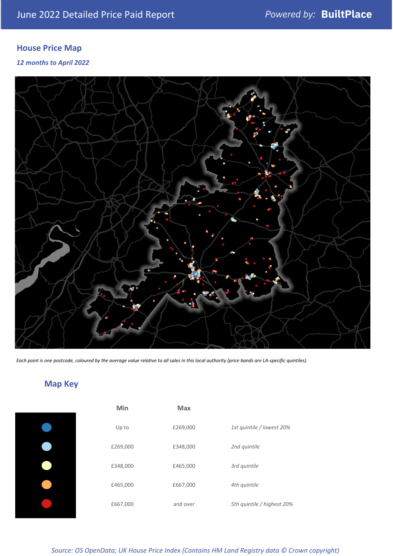## **House Price Map**

### *12 months to April 2022*



*Each point is one postcode, coloured by the average value relative to all sales in this local authority (price bands are LA-specific quintiles).*

## **Map Key**

| Min      | <b>Max</b> |                            |
|----------|------------|----------------------------|
| Up to    | £269,000   | 1st quintile / lowest 20%  |
| £269,000 | £348,000   | 2nd quintile               |
| £348,000 | £465,000   | 3rd quintile               |
| £465,000 | £667,000   | 4th quintile               |
| £667,000 | and over   | 5th quintile / highest 20% |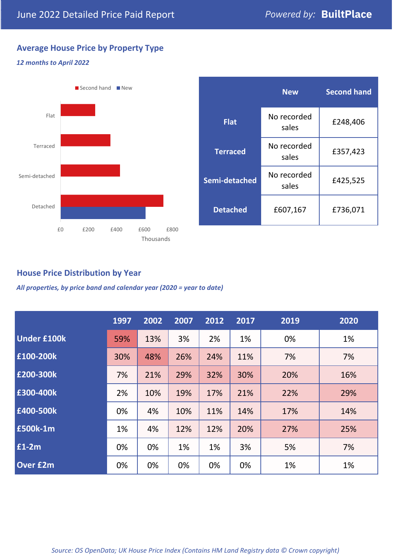## **Average House Price by Property Type**

#### *12 months to April 2022*



|                 | <b>New</b>           | <b>Second hand</b> |  |
|-----------------|----------------------|--------------------|--|
| <b>Flat</b>     | No recorded<br>sales | £248,406           |  |
| <b>Terraced</b> | No recorded<br>sales | £357,423           |  |
| Semi-detached   | No recorded<br>sales | £425,525           |  |
| <b>Detached</b> | £607,167             | £736,071           |  |

## **House Price Distribution by Year**

*All properties, by price band and calendar year (2020 = year to date)*

|                    | 1997 | 2002 | 2007 | 2012 | 2017 | 2019 | 2020 |
|--------------------|------|------|------|------|------|------|------|
| <b>Under £100k</b> | 59%  | 13%  | 3%   | 2%   | 1%   | 0%   | 1%   |
| £100-200k          | 30%  | 48%  | 26%  | 24%  | 11%  | 7%   | 7%   |
| E200-300k          | 7%   | 21%  | 29%  | 32%  | 30%  | 20%  | 16%  |
| £300-400k          | 2%   | 10%  | 19%  | 17%  | 21%  | 22%  | 29%  |
| £400-500k          | 0%   | 4%   | 10%  | 11%  | 14%  | 17%  | 14%  |
| <b>£500k-1m</b>    | 1%   | 4%   | 12%  | 12%  | 20%  | 27%  | 25%  |
| £1-2m              | 0%   | 0%   | 1%   | 1%   | 3%   | 5%   | 7%   |
| <b>Over £2m</b>    | 0%   | 0%   | 0%   | 0%   | 0%   | 1%   | 1%   |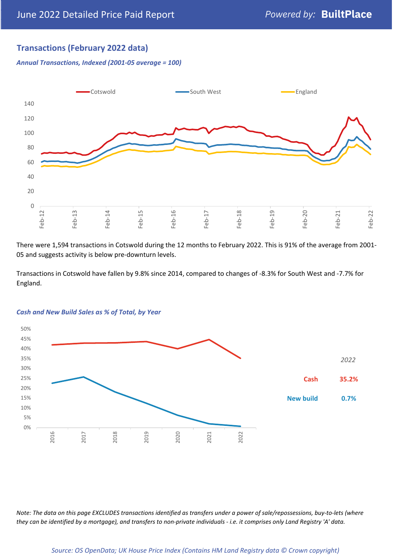## **Transactions (February 2022 data)**

*Annual Transactions, Indexed (2001-05 average = 100)*



There were 1,594 transactions in Cotswold during the 12 months to February 2022. This is 91% of the average from 2001- 05 and suggests activity is below pre-downturn levels.

Transactions in Cotswold have fallen by 9.8% since 2014, compared to changes of -8.3% for South West and -7.7% for England.



#### *Cash and New Build Sales as % of Total, by Year*

*Note: The data on this page EXCLUDES transactions identified as transfers under a power of sale/repossessions, buy-to-lets (where they can be identified by a mortgage), and transfers to non-private individuals - i.e. it comprises only Land Registry 'A' data.*